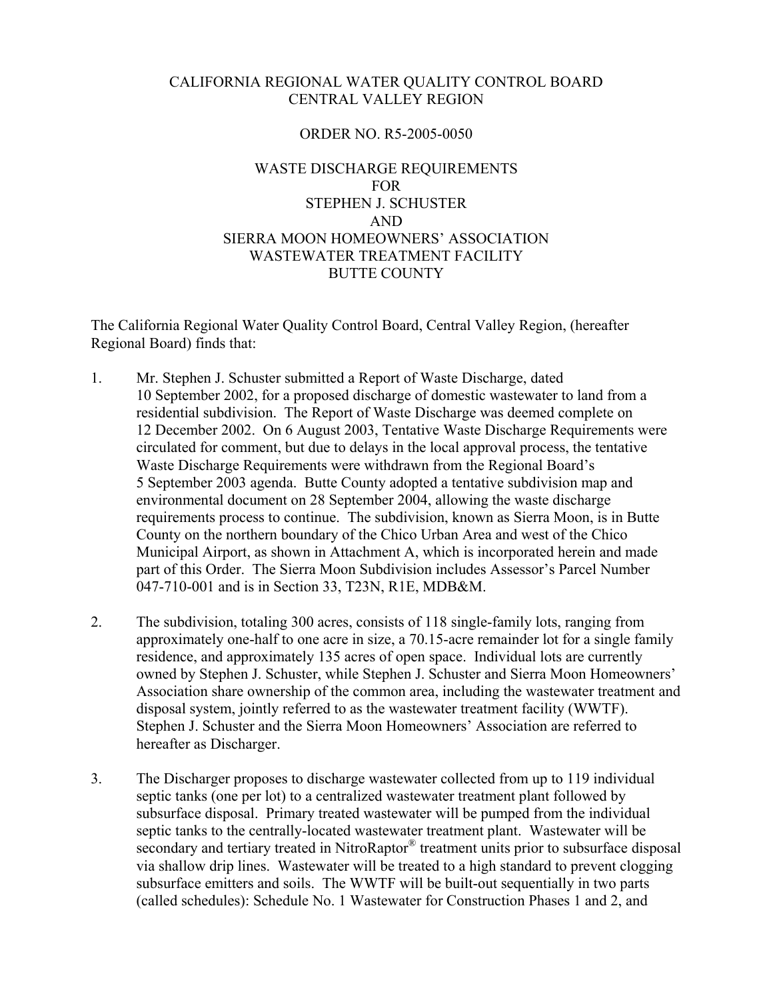#### CALIFORNIA REGIONAL WATER QUALITY CONTROL BOARD CENTRAL VALLEY REGION

### ORDER NO. R5-2005-0050

## WASTE DISCHARGE REQUIREMENTS FOR STEPHEN J. SCHUSTER AND SIERRA MOON HOMEOWNERS' ASSOCIATION WASTEWATER TREATMENT FACILITY BUTTE COUNTY

The California Regional Water Quality Control Board, Central Valley Region, (hereafter Regional Board) finds that:

- 1. Mr. Stephen J. Schuster submitted a Report of Waste Discharge, dated 10 September 2002, for a proposed discharge of domestic wastewater to land from a residential subdivision. The Report of Waste Discharge was deemed complete on 12 December 2002. On 6 August 2003, Tentative Waste Discharge Requirements were circulated for comment, but due to delays in the local approval process, the tentative Waste Discharge Requirements were withdrawn from the Regional Board's 5 September 2003 agenda. Butte County adopted a tentative subdivision map and environmental document on 28 September 2004, allowing the waste discharge requirements process to continue. The subdivision, known as Sierra Moon, is in Butte County on the northern boundary of the Chico Urban Area and west of the Chico Municipal Airport, as shown in Attachment A, which is incorporated herein and made part of this Order. The Sierra Moon Subdivision includes Assessor's Parcel Number 047-710-001 and is in Section 33, T23N, R1E, MDB&M.
- 2. The subdivision, totaling 300 acres, consists of 118 single-family lots, ranging from approximately one-half to one acre in size, a 70.15-acre remainder lot for a single family residence, and approximately 135 acres of open space. Individual lots are currently owned by Stephen J. Schuster, while Stephen J. Schuster and Sierra Moon Homeowners' Association share ownership of the common area, including the wastewater treatment and disposal system, jointly referred to as the wastewater treatment facility (WWTF). Stephen J. Schuster and the Sierra Moon Homeowners' Association are referred to hereafter as Discharger.
- 3. The Discharger proposes to discharge wastewater collected from up to 119 individual septic tanks (one per lot) to a centralized wastewater treatment plant followed by subsurface disposal. Primary treated wastewater will be pumped from the individual septic tanks to the centrally-located wastewater treatment plant. Wastewater will be secondary and tertiary treated in NitroRaptor<sup>®</sup> treatment units prior to subsurface disposal via shallow drip lines. Wastewater will be treated to a high standard to prevent clogging subsurface emitters and soils. The WWTF will be built-out sequentially in two parts (called schedules): Schedule No. 1 Wastewater for Construction Phases 1 and 2, and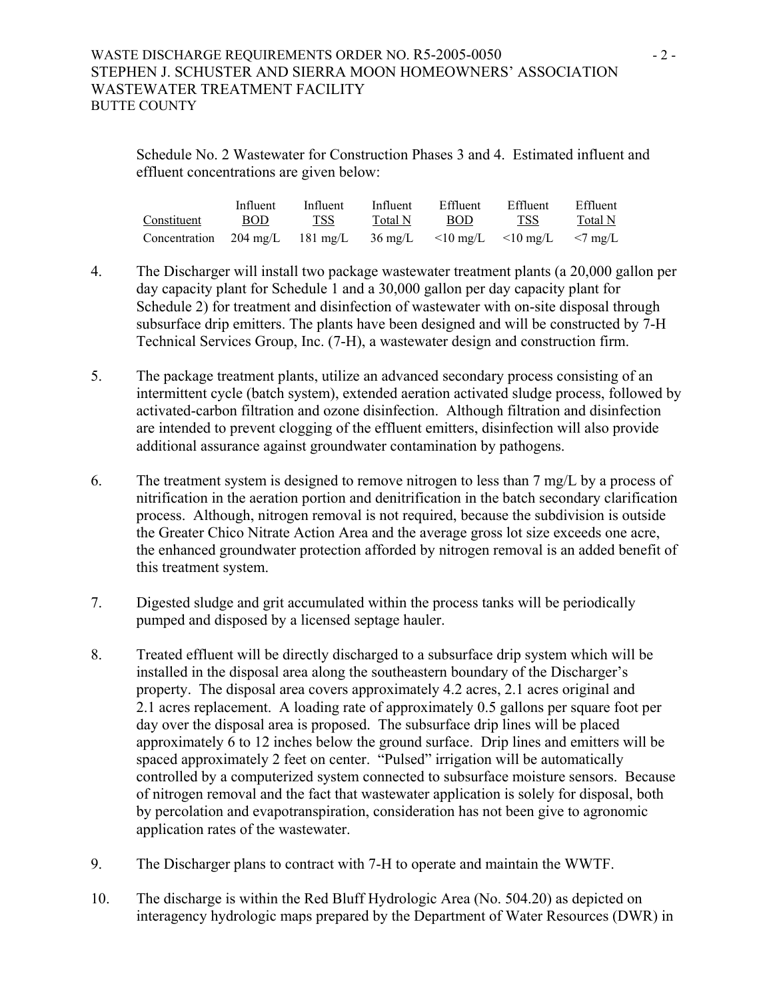## WASTE DISCHARGE REQUIREMENTS ORDER NO. R5-2005-0050 - 2 -STEPHEN J. SCHUSTER AND SIERRA MOON HOMEOWNERS' ASSOCIATION WASTEWATER TREATMENT FACILITY BUTTE COUNTY

Schedule No. 2 Wastewater for Construction Phases 3 and 4. Estimated influent and effluent concentrations are given below:

|                                                                                  | Influent   | Influent | Influent | Effluent   | Effluent   | Effluent |
|----------------------------------------------------------------------------------|------------|----------|----------|------------|------------|----------|
| Constituent                                                                      | <b>BOD</b> | TSS      | Total N  | <b>BOD</b> | <b>TSS</b> | Total N  |
| Concentration 204 mg/L 181 mg/L 36 mg/L $\lt 10$ mg/L $\lt 10$ mg/L $\lt 7$ mg/L |            |          |          |            |            |          |

- 4. The Discharger will install two package wastewater treatment plants (a 20,000 gallon per day capacity plant for Schedule 1 and a 30,000 gallon per day capacity plant for Schedule 2) for treatment and disinfection of wastewater with on-site disposal through subsurface drip emitters. The plants have been designed and will be constructed by 7-H Technical Services Group, Inc. (7-H), a wastewater design and construction firm.
- 5. The package treatment plants, utilize an advanced secondary process consisting of an intermittent cycle (batch system), extended aeration activated sludge process, followed by activated-carbon filtration and ozone disinfection. Although filtration and disinfection are intended to prevent clogging of the effluent emitters, disinfection will also provide additional assurance against groundwater contamination by pathogens.
- 6. The treatment system is designed to remove nitrogen to less than 7 mg/L by a process of nitrification in the aeration portion and denitrification in the batch secondary clarification process. Although, nitrogen removal is not required, because the subdivision is outside the Greater Chico Nitrate Action Area and the average gross lot size exceeds one acre, the enhanced groundwater protection afforded by nitrogen removal is an added benefit of this treatment system.
- 7. Digested sludge and grit accumulated within the process tanks will be periodically pumped and disposed by a licensed septage hauler.
- 8. Treated effluent will be directly discharged to a subsurface drip system which will be installed in the disposal area along the southeastern boundary of the Discharger's property. The disposal area covers approximately 4.2 acres, 2.1 acres original and 2.1 acres replacement. A loading rate of approximately 0.5 gallons per square foot per day over the disposal area is proposed. The subsurface drip lines will be placed approximately 6 to 12 inches below the ground surface. Drip lines and emitters will be spaced approximately 2 feet on center. "Pulsed" irrigation will be automatically controlled by a computerized system connected to subsurface moisture sensors. Because of nitrogen removal and the fact that wastewater application is solely for disposal, both by percolation and evapotranspiration, consideration has not been give to agronomic application rates of the wastewater.
- 9. The Discharger plans to contract with 7-H to operate and maintain the WWTF.
- 10. The discharge is within the Red Bluff Hydrologic Area (No. 504.20) as depicted on interagency hydrologic maps prepared by the Department of Water Resources (DWR) in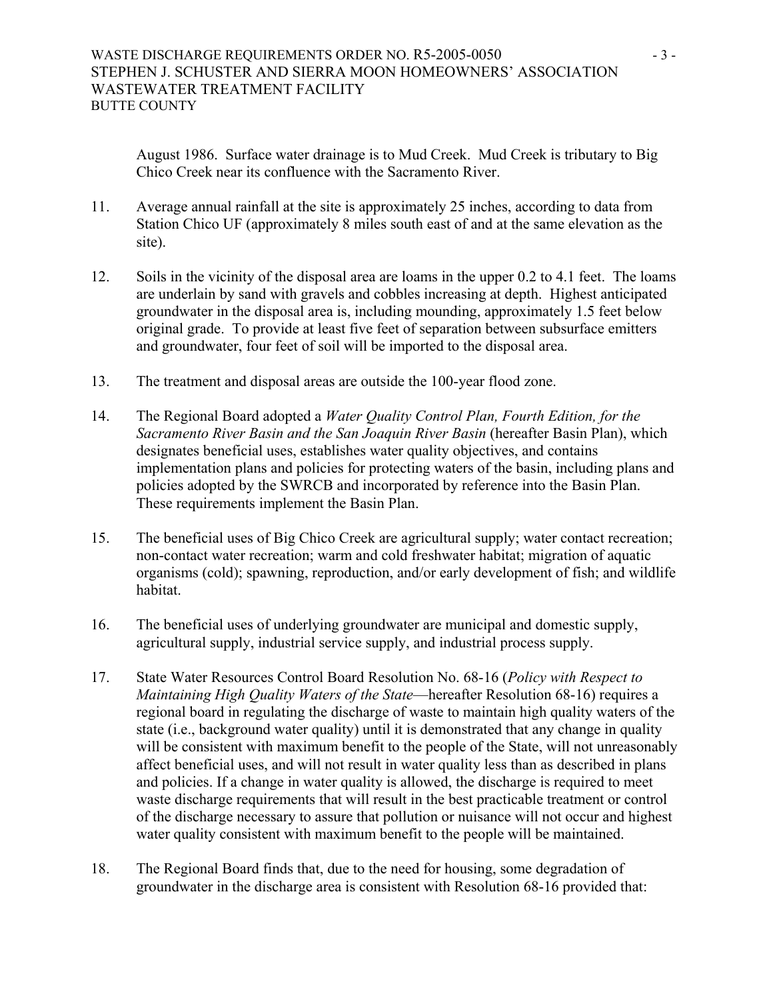August 1986. Surface water drainage is to Mud Creek. Mud Creek is tributary to Big Chico Creek near its confluence with the Sacramento River.

- 11. Average annual rainfall at the site is approximately 25 inches, according to data from Station Chico UF (approximately 8 miles south east of and at the same elevation as the site).
- 12. Soils in the vicinity of the disposal area are loams in the upper 0.2 to 4.1 feet. The loams are underlain by sand with gravels and cobbles increasing at depth. Highest anticipated groundwater in the disposal area is, including mounding, approximately 1.5 feet below original grade. To provide at least five feet of separation between subsurface emitters and groundwater, four feet of soil will be imported to the disposal area.
- 13. The treatment and disposal areas are outside the 100-year flood zone.
- 14. The Regional Board adopted a *Water Quality Control Plan, Fourth Edition, for the Sacramento River Basin and the San Joaquin River Basin* (hereafter Basin Plan), which designates beneficial uses, establishes water quality objectives, and contains implementation plans and policies for protecting waters of the basin, including plans and policies adopted by the SWRCB and incorporated by reference into the Basin Plan. These requirements implement the Basin Plan.
- 15. The beneficial uses of Big Chico Creek are agricultural supply; water contact recreation; non-contact water recreation; warm and cold freshwater habitat; migration of aquatic organisms (cold); spawning, reproduction, and/or early development of fish; and wildlife habitat.
- 16. The beneficial uses of underlying groundwater are municipal and domestic supply, agricultural supply, industrial service supply, and industrial process supply.
- 17. State Water Resources Control Board Resolution No. 68-16 (*Policy with Respect to Maintaining High Quality Waters of the State*—hereafter Resolution 68-16) requires a regional board in regulating the discharge of waste to maintain high quality waters of the state (i.e., background water quality) until it is demonstrated that any change in quality will be consistent with maximum benefit to the people of the State, will not unreasonably affect beneficial uses, and will not result in water quality less than as described in plans and policies. If a change in water quality is allowed, the discharge is required to meet waste discharge requirements that will result in the best practicable treatment or control of the discharge necessary to assure that pollution or nuisance will not occur and highest water quality consistent with maximum benefit to the people will be maintained.
- 18. The Regional Board finds that, due to the need for housing, some degradation of groundwater in the discharge area is consistent with Resolution 68-16 provided that: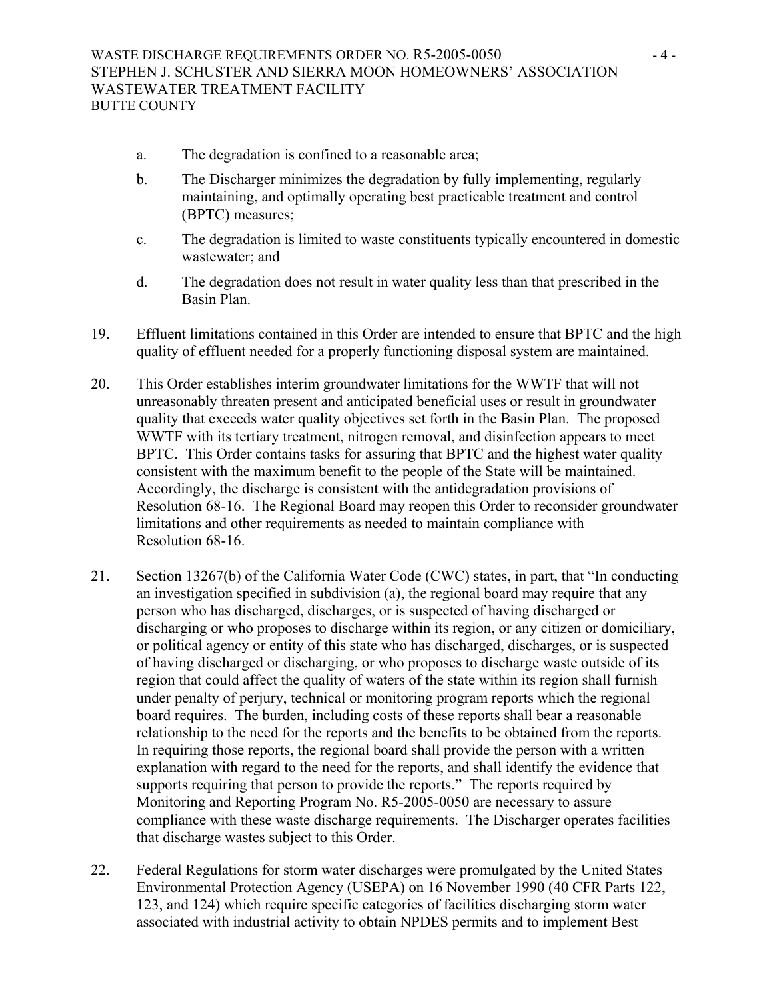- a. The degradation is confined to a reasonable area;
- b. The Discharger minimizes the degradation by fully implementing, regularly maintaining, and optimally operating best practicable treatment and control (BPTC) measures;
- c. The degradation is limited to waste constituents typically encountered in domestic wastewater; and
- d. The degradation does not result in water quality less than that prescribed in the Basin Plan.
- 19. Effluent limitations contained in this Order are intended to ensure that BPTC and the high quality of effluent needed for a properly functioning disposal system are maintained.
- 20. This Order establishes interim groundwater limitations for the WWTF that will not unreasonably threaten present and anticipated beneficial uses or result in groundwater quality that exceeds water quality objectives set forth in the Basin Plan. The proposed WWTF with its tertiary treatment, nitrogen removal, and disinfection appears to meet BPTC. This Order contains tasks for assuring that BPTC and the highest water quality consistent with the maximum benefit to the people of the State will be maintained. Accordingly, the discharge is consistent with the antidegradation provisions of Resolution 68-16. The Regional Board may reopen this Order to reconsider groundwater limitations and other requirements as needed to maintain compliance with Resolution 68-16.
- 21. Section 13267(b) of the California Water Code (CWC) states, in part, that "In conducting an investigation specified in subdivision (a), the regional board may require that any person who has discharged, discharges, or is suspected of having discharged or discharging or who proposes to discharge within its region, or any citizen or domiciliary, or political agency or entity of this state who has discharged, discharges, or is suspected of having discharged or discharging, or who proposes to discharge waste outside of its region that could affect the quality of waters of the state within its region shall furnish under penalty of perjury, technical or monitoring program reports which the regional board requires. The burden, including costs of these reports shall bear a reasonable relationship to the need for the reports and the benefits to be obtained from the reports. In requiring those reports, the regional board shall provide the person with a written explanation with regard to the need for the reports, and shall identify the evidence that supports requiring that person to provide the reports." The reports required by Monitoring and Reporting Program No. R5-2005-0050 are necessary to assure compliance with these waste discharge requirements. The Discharger operates facilities that discharge wastes subject to this Order.
- 22. Federal Regulations for storm water discharges were promulgated by the United States Environmental Protection Agency (USEPA) on 16 November 1990 (40 CFR Parts 122, 123, and 124) which require specific categories of facilities discharging storm water associated with industrial activity to obtain NPDES permits and to implement Best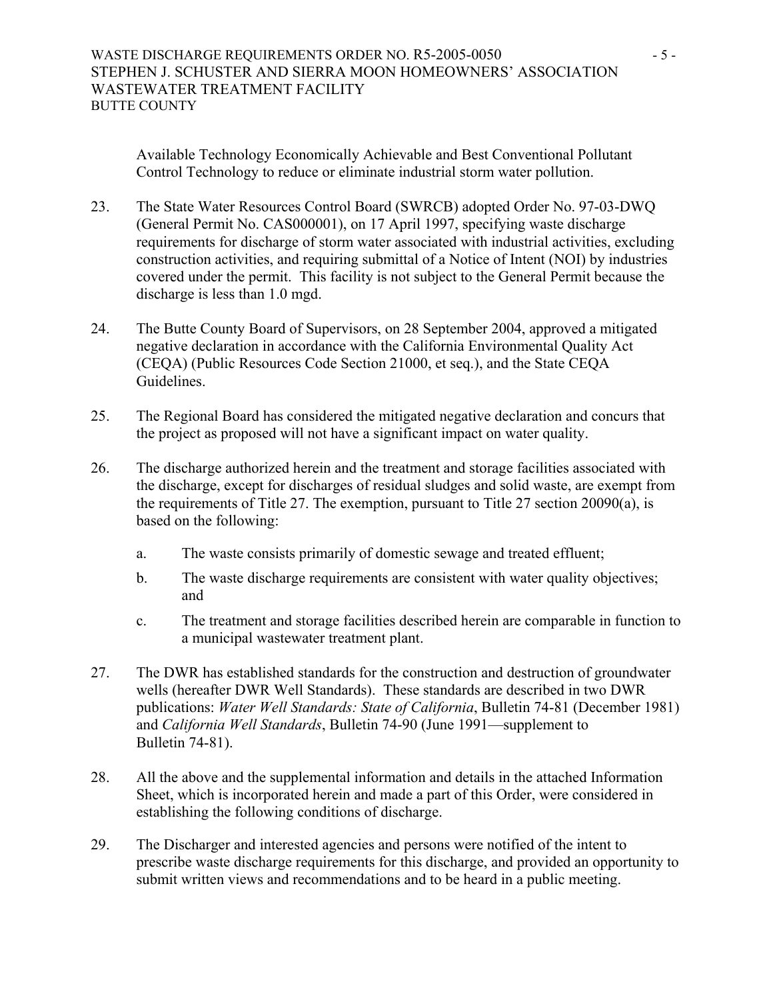Available Technology Economically Achievable and Best Conventional Pollutant Control Technology to reduce or eliminate industrial storm water pollution.

- 23. The State Water Resources Control Board (SWRCB) adopted Order No. 97-03-DWQ (General Permit No. CAS000001), on 17 April 1997, specifying waste discharge requirements for discharge of storm water associated with industrial activities, excluding construction activities, and requiring submittal of a Notice of Intent (NOI) by industries covered under the permit. This facility is not subject to the General Permit because the discharge is less than 1.0 mgd.
- 24. The Butte County Board of Supervisors, on 28 September 2004, approved a mitigated negative declaration in accordance with the California Environmental Quality Act (CEQA) (Public Resources Code Section 21000, et seq.), and the State CEQA Guidelines.
- 25. The Regional Board has considered the mitigated negative declaration and concurs that the project as proposed will not have a significant impact on water quality.
- 26. The discharge authorized herein and the treatment and storage facilities associated with the discharge, except for discharges of residual sludges and solid waste, are exempt from the requirements of Title 27. The exemption, pursuant to Title 27 section 20090(a), is based on the following:
	- a. The waste consists primarily of domestic sewage and treated effluent;
	- b. The waste discharge requirements are consistent with water quality objectives; and
	- c. The treatment and storage facilities described herein are comparable in function to a municipal wastewater treatment plant.
- 27. The DWR has established standards for the construction and destruction of groundwater wells (hereafter DWR Well Standards). These standards are described in two DWR publications: *Water Well Standards: State of California*, Bulletin 74-81 (December 1981) and *California Well Standards*, Bulletin 74-90 (June 1991—supplement to Bulletin 74-81).
- 28. All the above and the supplemental information and details in the attached Information Sheet, which is incorporated herein and made a part of this Order, were considered in establishing the following conditions of discharge.
- 29. The Discharger and interested agencies and persons were notified of the intent to prescribe waste discharge requirements for this discharge, and provided an opportunity to submit written views and recommendations and to be heard in a public meeting.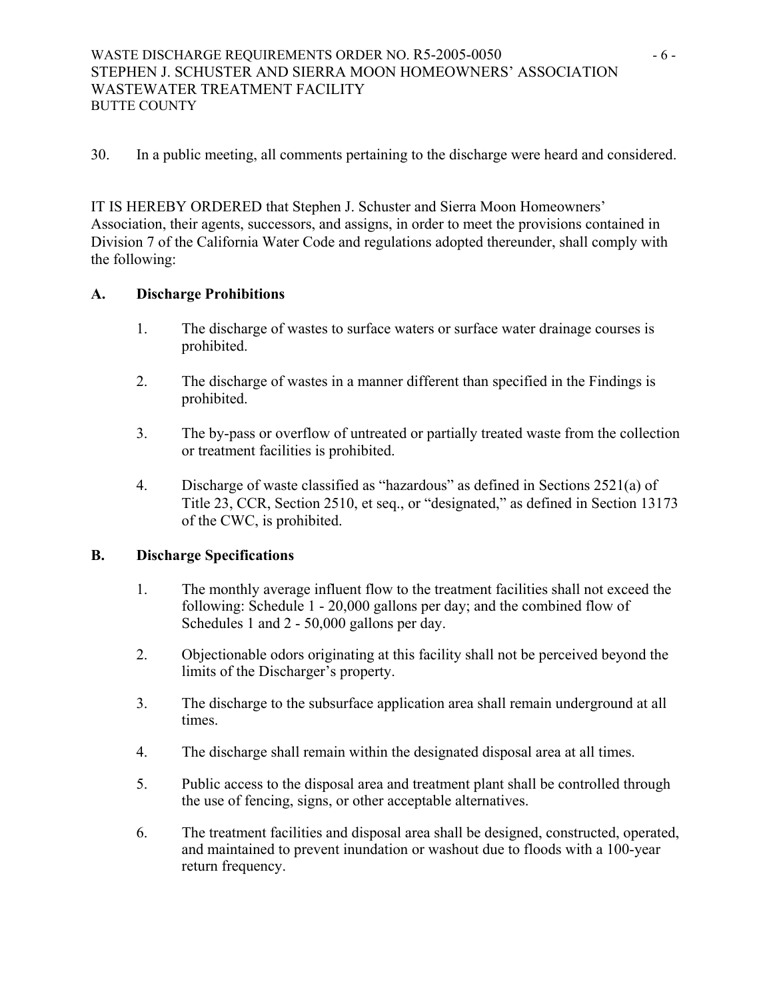## WASTE DISCHARGE REQUIREMENTS ORDER NO. R5-2005-0050 - 6 -STEPHEN J. SCHUSTER AND SIERRA MOON HOMEOWNERS' ASSOCIATION WASTEWATER TREATMENT FACILITY BUTTE COUNTY

30. In a public meeting, all comments pertaining to the discharge were heard and considered.

IT IS HEREBY ORDERED that Stephen J. Schuster and Sierra Moon Homeowners' Association, their agents, successors, and assigns, in order to meet the provisions contained in Division 7 of the California Water Code and regulations adopted thereunder, shall comply with the following:

## **A. Discharge Prohibitions**

- 1. The discharge of wastes to surface waters or surface water drainage courses is prohibited.
- 2. The discharge of wastes in a manner different than specified in the Findings is prohibited.
- 3. The by-pass or overflow of untreated or partially treated waste from the collection or treatment facilities is prohibited.
- 4. Discharge of waste classified as "hazardous" as defined in Sections 2521(a) of Title 23, CCR, Section 2510, et seq., or "designated," as defined in Section 13173 of the CWC, is prohibited.

# **B. Discharge Specifications**

- 1. The monthly average influent flow to the treatment facilities shall not exceed the following: Schedule 1 - 20,000 gallons per day; and the combined flow of Schedules 1 and 2 - 50,000 gallons per day.
- 2. Objectionable odors originating at this facility shall not be perceived beyond the limits of the Discharger's property.
- 3. The discharge to the subsurface application area shall remain underground at all times.
- 4. The discharge shall remain within the designated disposal area at all times.
- 5. Public access to the disposal area and treatment plant shall be controlled through the use of fencing, signs, or other acceptable alternatives.
- 6. The treatment facilities and disposal area shall be designed, constructed, operated, and maintained to prevent inundation or washout due to floods with a 100-year return frequency.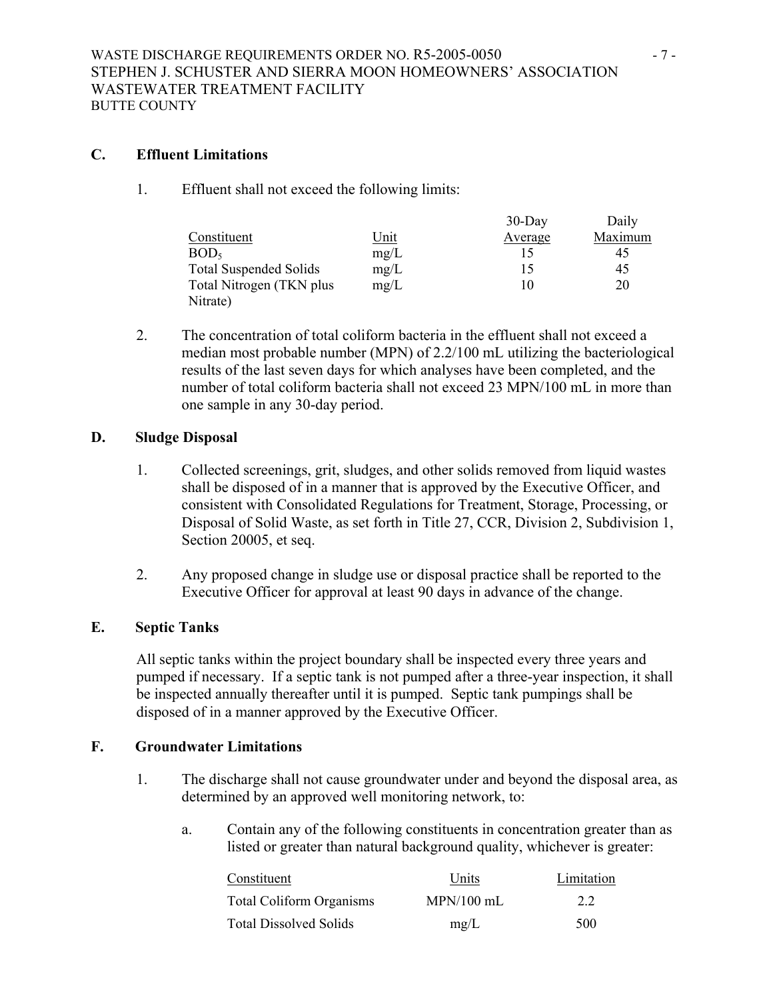## **C. Effluent Limitations**

1. Effluent shall not exceed the following limits:

|                               |             | $30$ -Day | Daily   |
|-------------------------------|-------------|-----------|---------|
| Constituent                   | <u>Unit</u> | Average   | Maximum |
| BOD <sub>5</sub>              | mg/L        | 15        | 45      |
| <b>Total Suspended Solids</b> | mg/L        | 15        | 45      |
| Total Nitrogen (TKN plus)     | mg/L        | 10        | 20      |
| Nitrate)                      |             |           |         |

2. The concentration of total coliform bacteria in the effluent shall not exceed a median most probable number (MPN) of 2.2/100 mL utilizing the bacteriological results of the last seven days for which analyses have been completed, and the number of total coliform bacteria shall not exceed 23 MPN/100 mL in more than one sample in any 30-day period.

### **D. Sludge Disposal**

- 1. Collected screenings, grit, sludges, and other solids removed from liquid wastes shall be disposed of in a manner that is approved by the Executive Officer, and consistent with Consolidated Regulations for Treatment, Storage, Processing, or Disposal of Solid Waste, as set forth in Title 27, CCR, Division 2, Subdivision 1, Section 20005, et seq.
- 2. Any proposed change in sludge use or disposal practice shall be reported to the Executive Officer for approval at least 90 days in advance of the change.

## **E. Septic Tanks**

All septic tanks within the project boundary shall be inspected every three years and pumped if necessary. If a septic tank is not pumped after a three-year inspection, it shall be inspected annually thereafter until it is pumped. Septic tank pumpings shall be disposed of in a manner approved by the Executive Officer.

## **F. Groundwater Limitations**

- 1. The discharge shall not cause groundwater under and beyond the disposal area, as determined by an approved well monitoring network, to:
	- a. Contain any of the following constituents in concentration greater than as listed or greater than natural background quality, whichever is greater:

| Constituent                     | Units        | Limitation |
|---------------------------------|--------------|------------|
| <b>Total Coliform Organisms</b> | $MPN/100$ mL | 22         |
| <b>Total Dissolved Solids</b>   | mg/L         | 500        |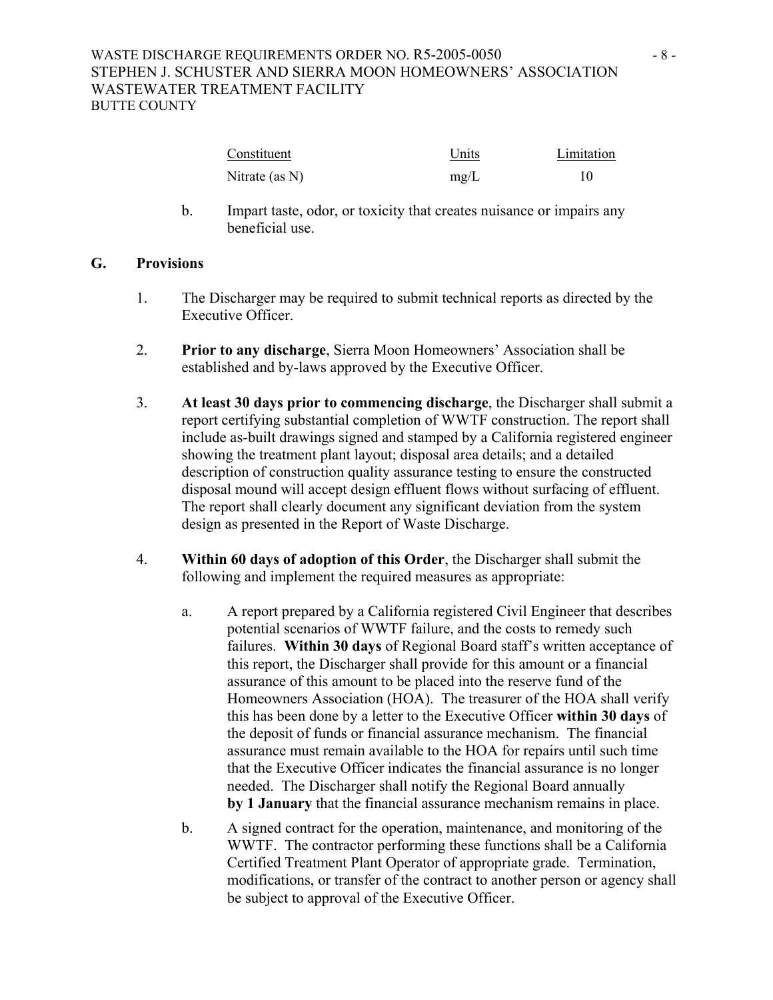| Constituent       | Units | Limitation |
|-------------------|-------|------------|
| Nitrate (as $N$ ) | mg/L  |            |

b. Impart taste, odor, or toxicity that creates nuisance or impairs any beneficial use.

### **G. Provisions**

- 1. The Discharger may be required to submit technical reports as directed by the Executive Officer.
- 2. **Prior to any discharge**, Sierra Moon Homeowners' Association shall be established and by-laws approved by the Executive Officer.
- 3. **At least 30 days prior to commencing discharge**, the Discharger shall submit a report certifying substantial completion of WWTF construction. The report shall include as-built drawings signed and stamped by a California registered engineer showing the treatment plant layout; disposal area details; and a detailed description of construction quality assurance testing to ensure the constructed disposal mound will accept design effluent flows without surfacing of effluent. The report shall clearly document any significant deviation from the system design as presented in the Report of Waste Discharge.
- 4. **Within 60 days of adoption of this Order**, the Discharger shall submit the following and implement the required measures as appropriate:
	- a. A report prepared by a California registered Civil Engineer that describes potential scenarios of WWTF failure, and the costs to remedy such failures. **Within 30 days** of Regional Board staff's written acceptance of this report, the Discharger shall provide for this amount or a financial assurance of this amount to be placed into the reserve fund of the Homeowners Association (HOA). The treasurer of the HOA shall verify this has been done by a letter to the Executive Officer **within 30 days** of the deposit of funds or financial assurance mechanism. The financial assurance must remain available to the HOA for repairs until such time that the Executive Officer indicates the financial assurance is no longer needed. The Discharger shall notify the Regional Board annually **by 1 January** that the financial assurance mechanism remains in place.
	- b. A signed contract for the operation, maintenance, and monitoring of the WWTF. The contractor performing these functions shall be a California Certified Treatment Plant Operator of appropriate grade. Termination, modifications, or transfer of the contract to another person or agency shall be subject to approval of the Executive Officer.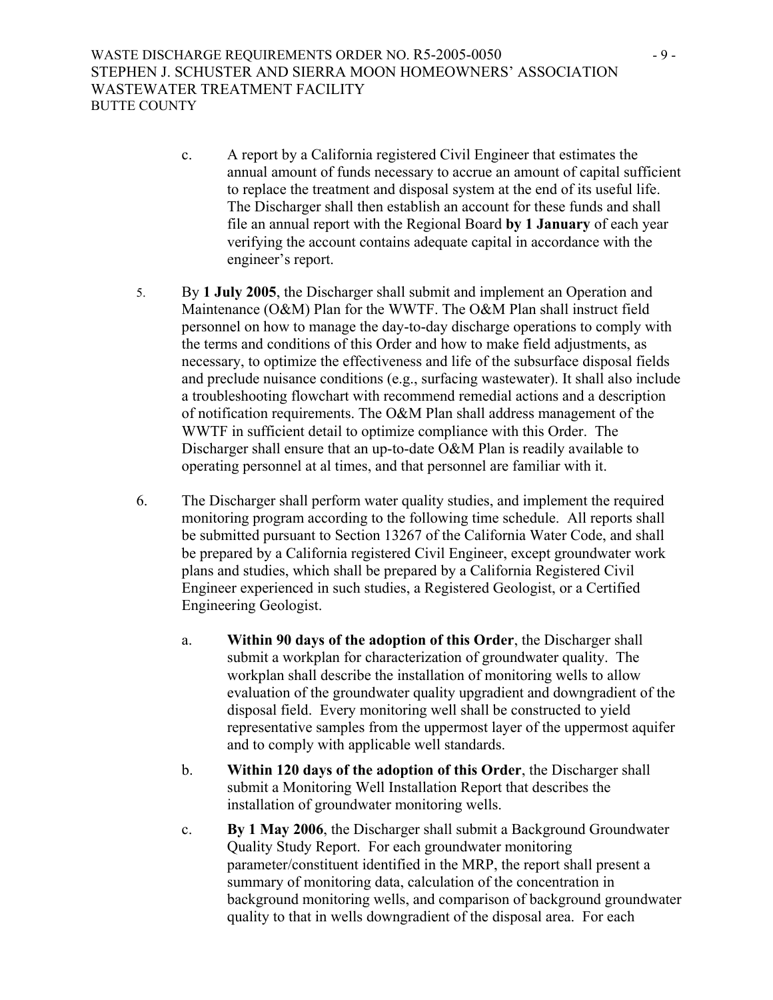- c. A report by a California registered Civil Engineer that estimates the annual amount of funds necessary to accrue an amount of capital sufficient to replace the treatment and disposal system at the end of its useful life. The Discharger shall then establish an account for these funds and shall file an annual report with the Regional Board **by 1 January** of each year verifying the account contains adequate capital in accordance with the engineer's report.
- 5. By **1 July 2005**, the Discharger shall submit and implement an Operation and Maintenance (O&M) Plan for the WWTF. The O&M Plan shall instruct field personnel on how to manage the day-to-day discharge operations to comply with the terms and conditions of this Order and how to make field adjustments, as necessary, to optimize the effectiveness and life of the subsurface disposal fields and preclude nuisance conditions (e.g., surfacing wastewater). It shall also include a troubleshooting flowchart with recommend remedial actions and a description of notification requirements. The O&M Plan shall address management of the WWTF in sufficient detail to optimize compliance with this Order. The Discharger shall ensure that an up-to-date O&M Plan is readily available to operating personnel at al times, and that personnel are familiar with it.
- 6. The Discharger shall perform water quality studies, and implement the required monitoring program according to the following time schedule. All reports shall be submitted pursuant to Section 13267 of the California Water Code, and shall be prepared by a California registered Civil Engineer, except groundwater work plans and studies, which shall be prepared by a California Registered Civil Engineer experienced in such studies, a Registered Geologist, or a Certified Engineering Geologist.
	- a. **Within 90 days of the adoption of this Order**, the Discharger shall submit a workplan for characterization of groundwater quality. The workplan shall describe the installation of monitoring wells to allow evaluation of the groundwater quality upgradient and downgradient of the disposal field. Every monitoring well shall be constructed to yield representative samples from the uppermost layer of the uppermost aquifer and to comply with applicable well standards.
	- b. **Within 120 days of the adoption of this Order**, the Discharger shall submit a Monitoring Well Installation Report that describes the installation of groundwater monitoring wells.
	- c. **By 1 May 2006**, the Discharger shall submit a Background Groundwater Quality Study Report. For each groundwater monitoring parameter/constituent identified in the MRP, the report shall present a summary of monitoring data, calculation of the concentration in background monitoring wells, and comparison of background groundwater quality to that in wells downgradient of the disposal area. For each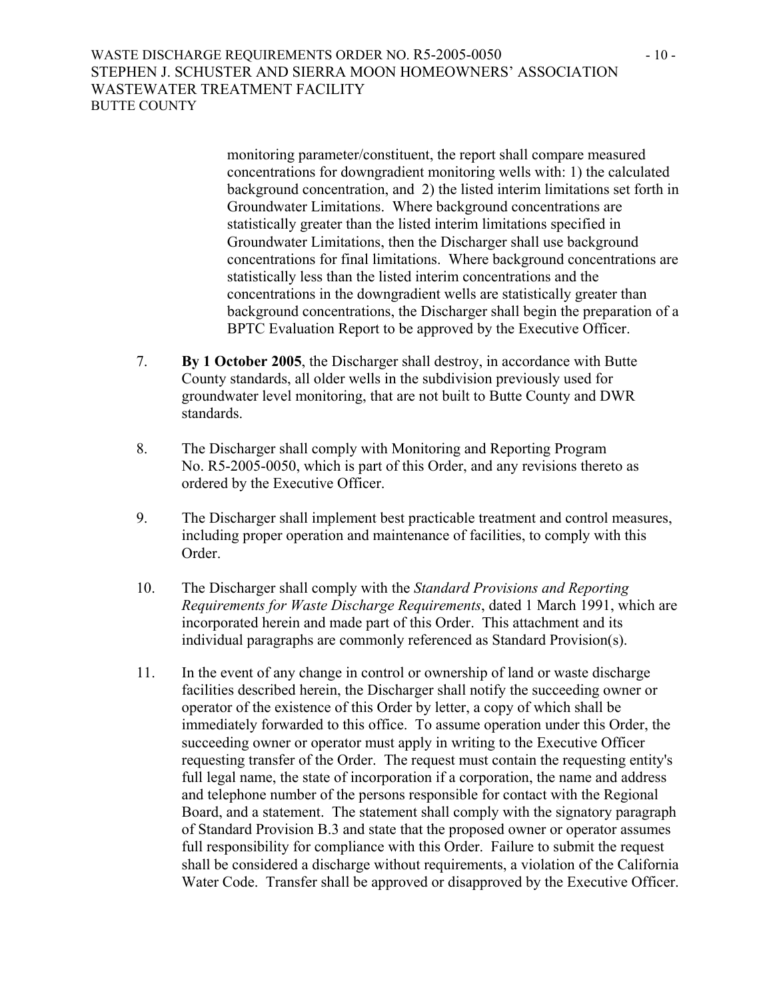WASTE DISCHARGE REQUIREMENTS ORDER NO. R5-2005-0050 - 10 - 10 -STEPHEN J. SCHUSTER AND SIERRA MOON HOMEOWNERS' ASSOCIATION WASTEWATER TREATMENT FACILITY BUTTE COUNTY

> monitoring parameter/constituent, the report shall compare measured concentrations for downgradient monitoring wells with: 1) the calculated background concentration, and 2) the listed interim limitations set forth in Groundwater Limitations. Where background concentrations are statistically greater than the listed interim limitations specified in Groundwater Limitations, then the Discharger shall use background concentrations for final limitations. Where background concentrations are statistically less than the listed interim concentrations and the concentrations in the downgradient wells are statistically greater than background concentrations, the Discharger shall begin the preparation of a BPTC Evaluation Report to be approved by the Executive Officer.

- 7. **By 1 October 2005**, the Discharger shall destroy, in accordance with Butte County standards, all older wells in the subdivision previously used for groundwater level monitoring, that are not built to Butte County and DWR standards.
- 8. The Discharger shall comply with Monitoring and Reporting Program No. R5-2005-0050, which is part of this Order, and any revisions thereto as ordered by the Executive Officer.
- 9. The Discharger shall implement best practicable treatment and control measures, including proper operation and maintenance of facilities, to comply with this Order.
- 10. The Discharger shall comply with the *Standard Provisions and Reporting Requirements for Waste Discharge Requirements*, dated 1 March 1991, which are incorporated herein and made part of this Order. This attachment and its individual paragraphs are commonly referenced as Standard Provision(s).
- 11. In the event of any change in control or ownership of land or waste discharge facilities described herein, the Discharger shall notify the succeeding owner or operator of the existence of this Order by letter, a copy of which shall be immediately forwarded to this office. To assume operation under this Order, the succeeding owner or operator must apply in writing to the Executive Officer requesting transfer of the Order. The request must contain the requesting entity's full legal name, the state of incorporation if a corporation, the name and address and telephone number of the persons responsible for contact with the Regional Board, and a statement. The statement shall comply with the signatory paragraph of Standard Provision B.3 and state that the proposed owner or operator assumes full responsibility for compliance with this Order. Failure to submit the request shall be considered a discharge without requirements, a violation of the California Water Code. Transfer shall be approved or disapproved by the Executive Officer.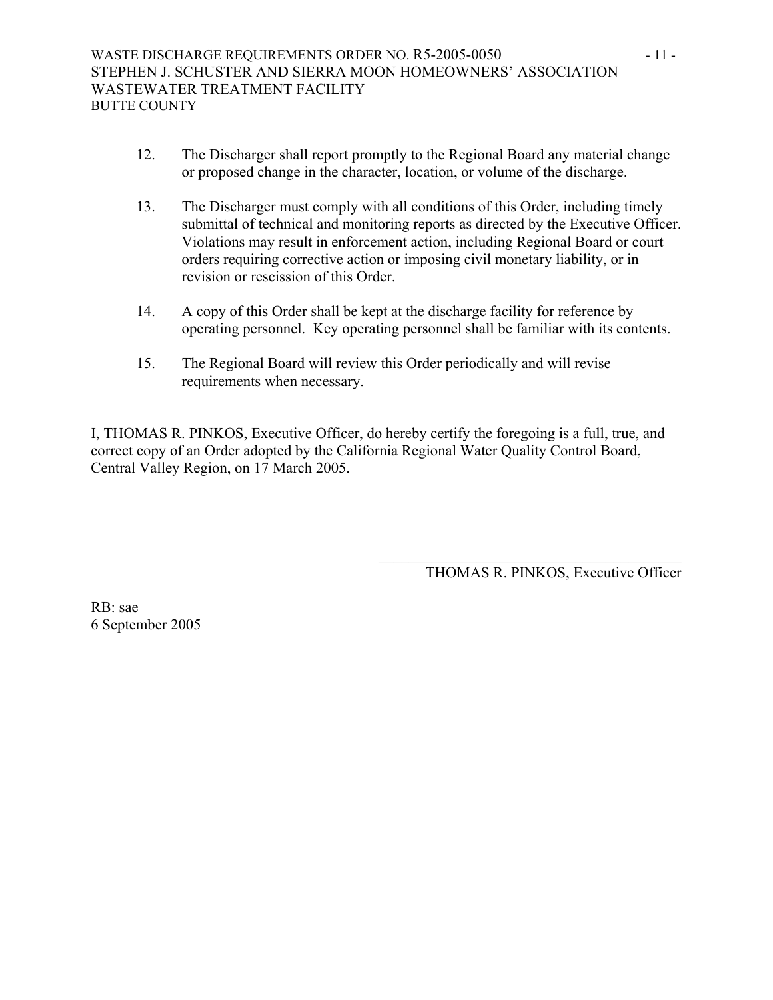- 12. The Discharger shall report promptly to the Regional Board any material change or proposed change in the character, location, or volume of the discharge.
- 13. The Discharger must comply with all conditions of this Order, including timely submittal of technical and monitoring reports as directed by the Executive Officer. Violations may result in enforcement action, including Regional Board or court orders requiring corrective action or imposing civil monetary liability, or in revision or rescission of this Order.
- 14. A copy of this Order shall be kept at the discharge facility for reference by operating personnel. Key operating personnel shall be familiar with its contents.
- 15. The Regional Board will review this Order periodically and will revise requirements when necessary.

I, THOMAS R. PINKOS, Executive Officer, do hereby certify the foregoing is a full, true, and correct copy of an Order adopted by the California Regional Water Quality Control Board, Central Valley Region, on 17 March 2005.

 $\frac{1}{\sqrt{2}}$  ,  $\frac{1}{\sqrt{2}}$  ,  $\frac{1}{\sqrt{2}}$  ,  $\frac{1}{\sqrt{2}}$  ,  $\frac{1}{\sqrt{2}}$  ,  $\frac{1}{\sqrt{2}}$  ,  $\frac{1}{\sqrt{2}}$  ,  $\frac{1}{\sqrt{2}}$  ,  $\frac{1}{\sqrt{2}}$  ,  $\frac{1}{\sqrt{2}}$  ,  $\frac{1}{\sqrt{2}}$  ,  $\frac{1}{\sqrt{2}}$  ,  $\frac{1}{\sqrt{2}}$  ,  $\frac{1}{\sqrt{2}}$  ,  $\frac{1}{\sqrt{2}}$ 

THOMAS R. PINKOS, Executive Officer

RB: sae 6 September 2005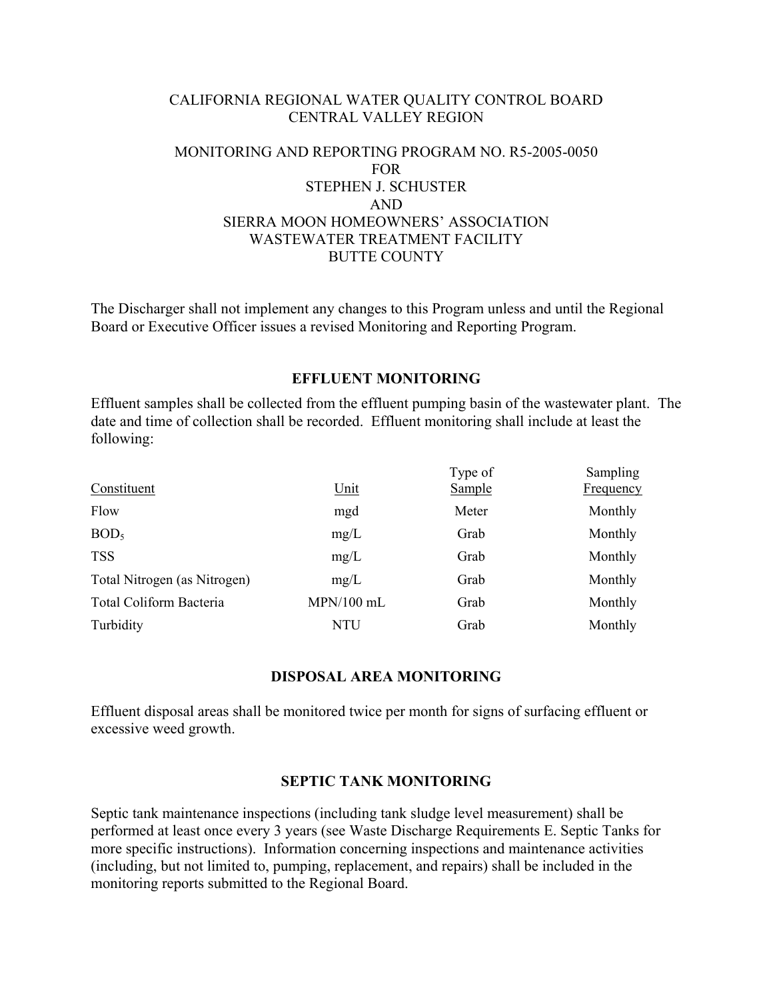### CALIFORNIA REGIONAL WATER QUALITY CONTROL BOARD CENTRAL VALLEY REGION

# MONITORING AND REPORTING PROGRAM NO. R5-2005-0050 FOR STEPHEN J. SCHUSTER AND SIERRA MOON HOMEOWNERS' ASSOCIATION WASTEWATER TREATMENT FACILITY BUTTE COUNTY

The Discharger shall not implement any changes to this Program unless and until the Regional Board or Executive Officer issues a revised Monitoring and Reporting Program.

### **EFFLUENT MONITORING**

Effluent samples shall be collected from the effluent pumping basin of the wastewater plant. The date and time of collection shall be recorded. Effluent monitoring shall include at least the following:

| <u>Unit</u>  | Type of<br>Sample | <b>Sampling</b><br><b>Frequency</b> |
|--------------|-------------------|-------------------------------------|
| mgd          | Meter             | Monthly                             |
| mg/L         | Grab              | Monthly                             |
| mg/L         | Grab              | Monthly                             |
| mg/L         | Grab              | Monthly                             |
| $MPN/100$ mL | Grab              | Monthly                             |
| NTU          | Grab              | Monthly                             |
|              |                   |                                     |

### **DISPOSAL AREA MONITORING**

Effluent disposal areas shall be monitored twice per month for signs of surfacing effluent or excessive weed growth.

### **SEPTIC TANK MONITORING**

Septic tank maintenance inspections (including tank sludge level measurement) shall be performed at least once every 3 years (see Waste Discharge Requirements E. Septic Tanks for more specific instructions). Information concerning inspections and maintenance activities (including, but not limited to, pumping, replacement, and repairs) shall be included in the monitoring reports submitted to the Regional Board.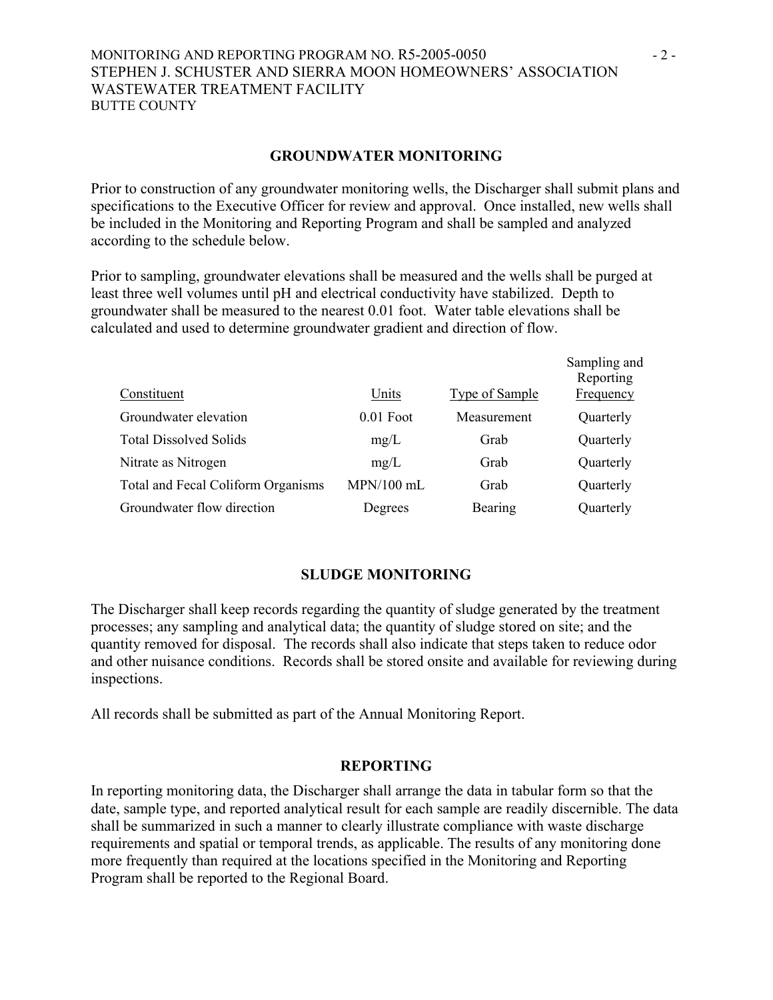#### MONITORING AND REPORTING PROGRAM NO. R5-2005-0050 - 2 -STEPHEN J. SCHUSTER AND SIERRA MOON HOMEOWNERS' ASSOCIATION WASTEWATER TREATMENT FACILITY BUTTE COUNTY

#### **GROUNDWATER MONITORING**

Prior to construction of any groundwater monitoring wells, the Discharger shall submit plans and specifications to the Executive Officer for review and approval. Once installed, new wells shall be included in the Monitoring and Reporting Program and shall be sampled and analyzed according to the schedule below.

Prior to sampling, groundwater elevations shall be measured and the wells shall be purged at least three well volumes until pH and electrical conductivity have stabilized. Depth to groundwater shall be measured to the nearest 0.01 foot. Water table elevations shall be calculated and used to determine groundwater gradient and direction of flow.

| Constituent                        | Units        | <b>Type of Sample</b> | Sampling and<br>Reporting<br>Frequency |
|------------------------------------|--------------|-----------------------|----------------------------------------|
| Groundwater elevation              | $0.01$ Foot  | Measurement           | Quarterly                              |
| <b>Total Dissolved Solids</b>      | mg/L         | Grab                  | Quarterly                              |
| Nitrate as Nitrogen                | mg/L         | Grab                  | Quarterly                              |
| Total and Fecal Coliform Organisms | $MPN/100$ mL | Grab                  | Quarterly                              |
| Groundwater flow direction         | Degrees      | Bearing               | Quarterly                              |

#### **SLUDGE MONITORING**

The Discharger shall keep records regarding the quantity of sludge generated by the treatment processes; any sampling and analytical data; the quantity of sludge stored on site; and the quantity removed for disposal. The records shall also indicate that steps taken to reduce odor and other nuisance conditions. Records shall be stored onsite and available for reviewing during inspections.

All records shall be submitted as part of the Annual Monitoring Report.

#### **REPORTING**

In reporting monitoring data, the Discharger shall arrange the data in tabular form so that the date, sample type, and reported analytical result for each sample are readily discernible. The data shall be summarized in such a manner to clearly illustrate compliance with waste discharge requirements and spatial or temporal trends, as applicable. The results of any monitoring done more frequently than required at the locations specified in the Monitoring and Reporting Program shall be reported to the Regional Board.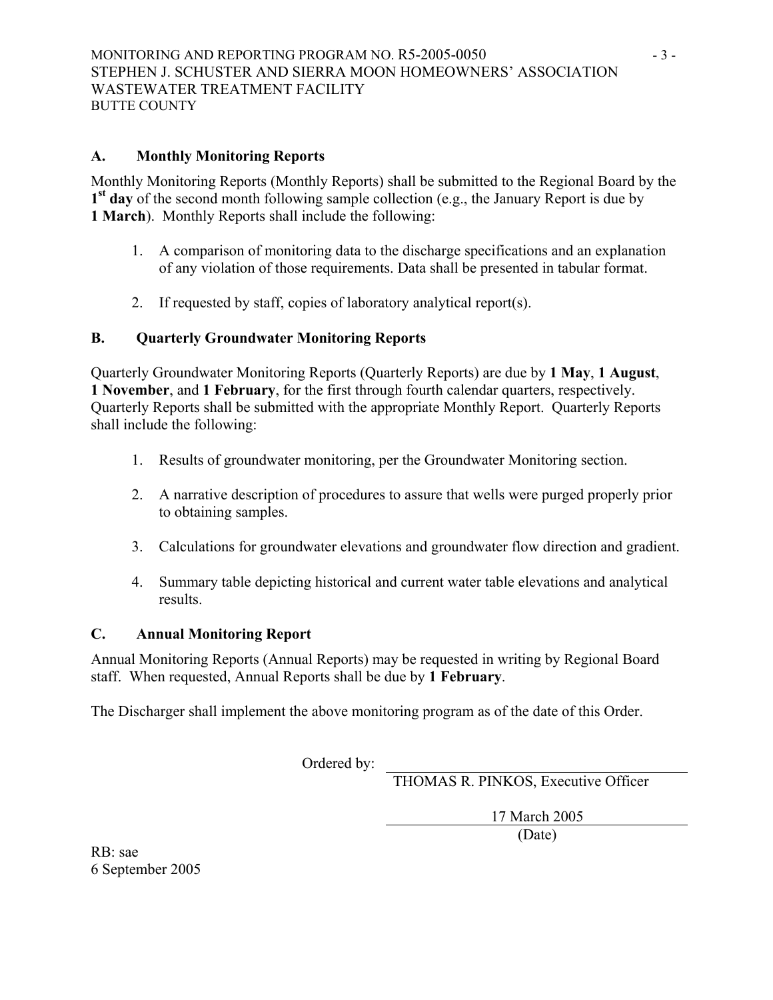# **A. Monthly Monitoring Reports**

Monthly Monitoring Reports (Monthly Reports) shall be submitted to the Regional Board by the **1st day** of the second month following sample collection (e.g., the January Report is due by **1 March**). Monthly Reports shall include the following:

- 1. A comparison of monitoring data to the discharge specifications and an explanation of any violation of those requirements. Data shall be presented in tabular format.
- 2. If requested by staff, copies of laboratory analytical report(s).

# **B. Quarterly Groundwater Monitoring Reports**

Quarterly Groundwater Monitoring Reports (Quarterly Reports) are due by **1 May**, **1 August**, **1 November**, and **1 February**, for the first through fourth calendar quarters, respectively. Quarterly Reports shall be submitted with the appropriate Monthly Report. Quarterly Reports shall include the following:

- 1. Results of groundwater monitoring, per the Groundwater Monitoring section.
- 2. A narrative description of procedures to assure that wells were purged properly prior to obtaining samples.
- 3. Calculations for groundwater elevations and groundwater flow direction and gradient.
- 4. Summary table depicting historical and current water table elevations and analytical results.

# **C. Annual Monitoring Report**

Annual Monitoring Reports (Annual Reports) may be requested in writing by Regional Board staff. When requested, Annual Reports shall be due by **1 February**.

The Discharger shall implement the above monitoring program as of the date of this Order.

Ordered by:

THOMAS R. PINKOS, Executive Officer

17 March 2005

(Date)

RB: sae 6 September 2005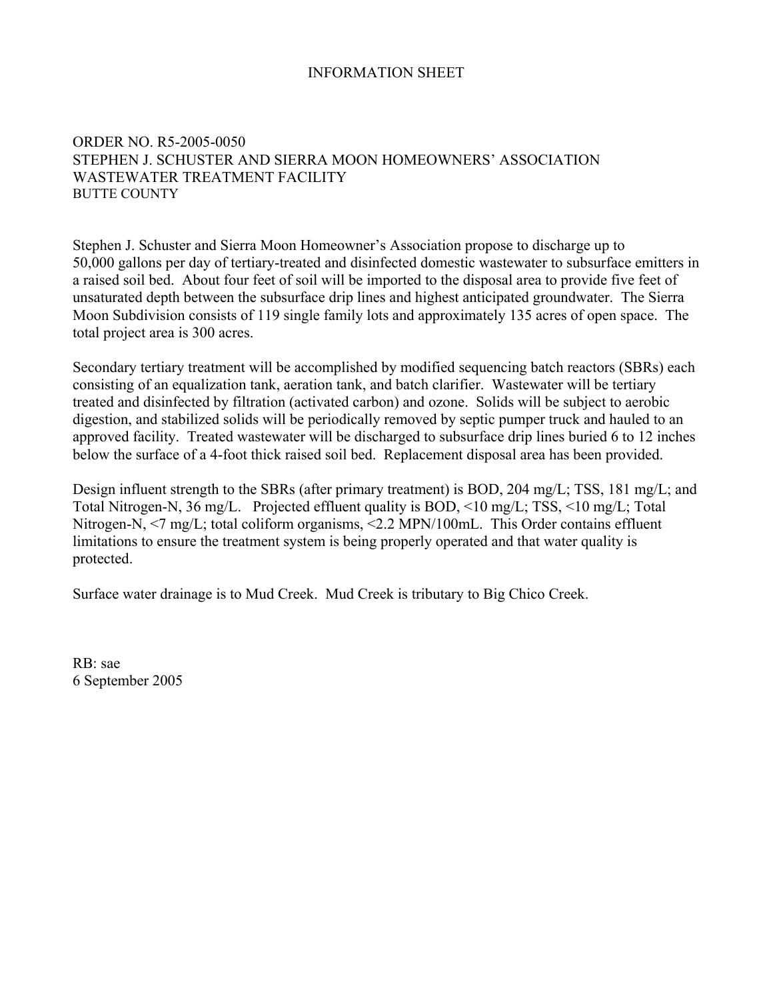# INFORMATION SHEET

# ORDER NO. R5-2005-0050 STEPHEN J. SCHUSTER AND SIERRA MOON HOMEOWNERS' ASSOCIATION WASTEWATER TREATMENT FACILITY BUTTE COUNTY

Stephen J. Schuster and Sierra Moon Homeowner's Association propose to discharge up to 50,000 gallons per day of tertiary-treated and disinfected domestic wastewater to subsurface emitters in a raised soil bed. About four feet of soil will be imported to the disposal area to provide five feet of unsaturated depth between the subsurface drip lines and highest anticipated groundwater. The Sierra Moon Subdivision consists of 119 single family lots and approximately 135 acres of open space. The total project area is 300 acres.

Secondary tertiary treatment will be accomplished by modified sequencing batch reactors (SBRs) each consisting of an equalization tank, aeration tank, and batch clarifier. Wastewater will be tertiary treated and disinfected by filtration (activated carbon) and ozone. Solids will be subject to aerobic digestion, and stabilized solids will be periodically removed by septic pumper truck and hauled to an approved facility. Treated wastewater will be discharged to subsurface drip lines buried 6 to 12 inches below the surface of a 4-foot thick raised soil bed. Replacement disposal area has been provided.

Design influent strength to the SBRs (after primary treatment) is BOD, 204 mg/L; TSS, 181 mg/L; and Total Nitrogen-N, 36 mg/L. Projected effluent quality is BOD, <10 mg/L; TSS, <10 mg/L; Total Nitrogen-N,  $\le$ 7 mg/L; total coliform organisms,  $\le$ 2.2 MPN/100mL. This Order contains effluent limitations to ensure the treatment system is being properly operated and that water quality is protected.

Surface water drainage is to Mud Creek. Mud Creek is tributary to Big Chico Creek.

RB: sae 6 September 2005